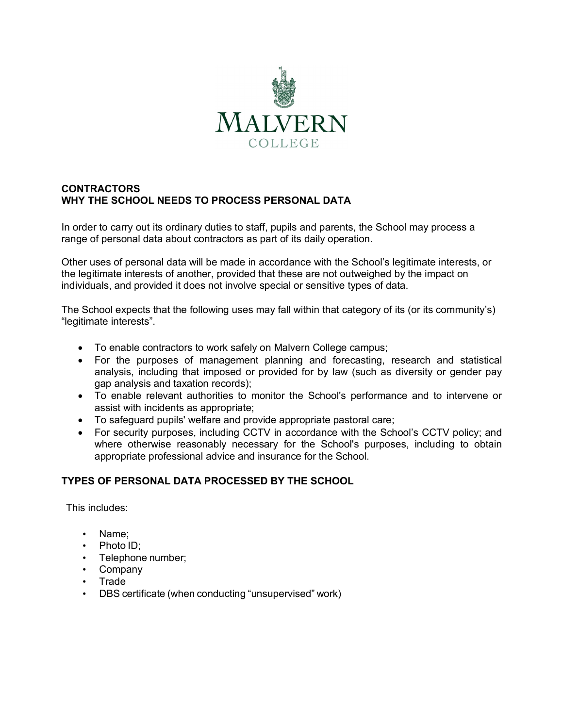

## **CONTRACTORS WHY THE SCHOOL NEEDS TO PROCESS PERSONAL DATA**

In order to carry out its ordinary duties to staff, pupils and parents, the School may process a range of personal data about contractors as part of its daily operation.

Other uses of personal data will be made in accordance with the School's legitimate interests, or the legitimate interests of another, provided that these are not outweighed by the impact on individuals, and provided it does not involve special or sensitive types of data.

The School expects that the following uses may fall within that category of its (or its community's) "legitimate interests".

- To enable contractors to work safely on Malvern College campus;
- For the purposes of management planning and forecasting, research and statistical analysis, including that imposed or provided for by law (such as diversity or gender pay gap analysis and taxation records);
- To enable relevant authorities to monitor the School's performance and to intervene or assist with incidents as appropriate;
- To safeguard pupils' welfare and provide appropriate pastoral care;
- For security purposes, including CCTV in accordance with the School's CCTV policy; and where otherwise reasonably necessary for the School's purposes, including to obtain appropriate professional advice and insurance for the School.

### **TYPES OF PERSONAL DATA PROCESSED BY THE SCHOOL**

This includes:

- Name;
- Photo ID;
- Telephone number;
- Company
- Trade
- DBS certificate (when conducting "unsupervised" work)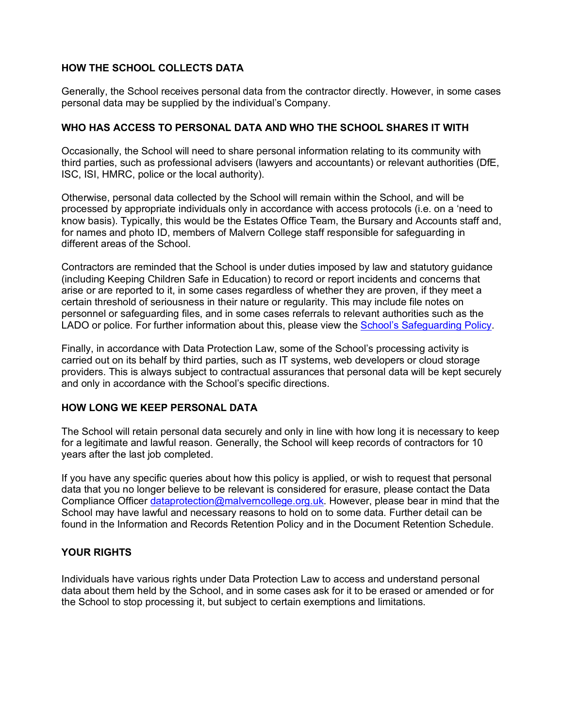## **HOW THE SCHOOL COLLECTS DATA**

Generally, the School receives personal data from the contractor directly. However, in some cases personal data may be supplied by the individual's Company.

### **WHO HAS ACCESS TO PERSONAL DATA AND WHO THE SCHOOL SHARES IT WITH**

Occasionally, the School will need to share personal information relating to its community with third parties, such as professional advisers (lawyers and accountants) or relevant authorities (DfE, ISC, ISI, HMRC, police or the local authority).

Otherwise, personal data collected by the School will remain within the School, and will be processed by appropriate individuals only in accordance with access protocols (i.e. on a 'need to know basis). Typically, this would be the Estates Office Team, the Bursary and Accounts staff and, for names and photo ID, members of Malvern College staff responsible for safeguarding in different areas of the School.

Contractors are reminded that the School is under duties imposed by law and statutory guidance (including Keeping Children Safe in Education) to record or report incidents and concerns that arise or are reported to it, in some cases regardless of whether they are proven, if they meet a certain threshold of seriousness in their nature or regularity. This may include file notes on personnel or safeguarding files, and in some cases referrals to relevant authorities such as the LADO or police. For further information about this, please view the School's Safeguarding Policy.

Finally, in accordance with Data Protection Law, some of the School's processing activity is carried out on its behalf by third parties, such as IT systems, web developers or cloud storage providers. This is always subject to contractual assurances that personal data will be kept securely and only in accordance with the School's specific directions.

### **HOW LONG WE KEEP PERSONAL DATA**

The School will retain personal data securely and only in line with how long it is necessary to keep for a legitimate and lawful reason. Generally, the School will keep records of contractors for 10 years after the last job completed.

If you have any specific queries about how this policy is applied, or wish to request that personal data that you no longer believe to be relevant is considered for erasure, please contact the Data Compliance Officer dataprotection@malverncollege.org.uk. However, please bear in mind that the School may have lawful and necessary reasons to hold on to some data. Further detail can be found in the Information and Records Retention Policy and in the Document Retention Schedule.

### **YOUR RIGHTS**

Individuals have various rights under Data Protection Law to access and understand personal data about them held by the School, and in some cases ask for it to be erased or amended or for the School to stop processing it, but subject to certain exemptions and limitations.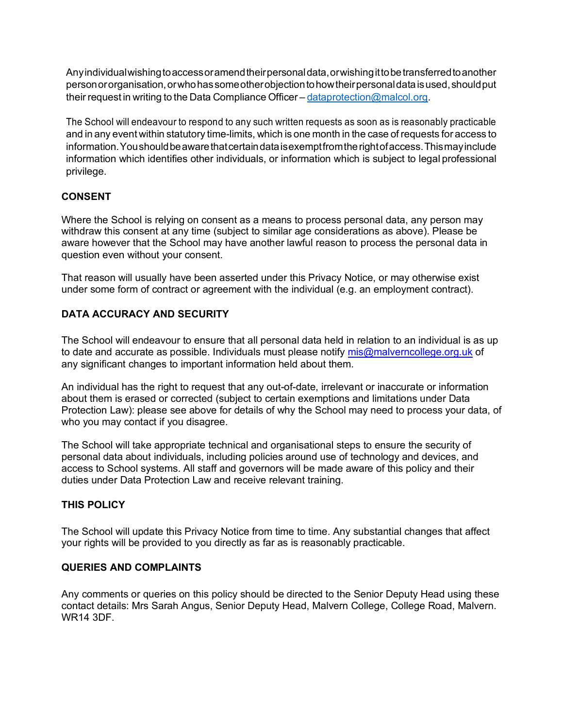Anyindividualwishingtoaccessoramendtheirpersonaldata,orwishingittobetransferredtoanother personororganisation,orwhohassomeotherobjectiontohowtheirpersonaldataisused,shouldput their request in writing to the Data Compliance Officer – dataprotection@malcol.org.

The School will endeavour to respond to any such written requests as soon as is reasonably practicable and in any event within statutory time-limits, which is one month in the case of requests for access to information. You should be aware that certain data is exempt from the right of access. This may include information which identifies other individuals, or information which is subject to legal professional privilege.

# **CONSENT**

Where the School is relying on consent as a means to process personal data, any person may withdraw this consent at any time (subject to similar age considerations as above). Please be aware however that the School may have another lawful reason to process the personal data in question even without your consent.

That reason will usually have been asserted under this Privacy Notice, or may otherwise exist under some form of contract or agreement with the individual (e.g. an employment contract).

# **DATA ACCURACY AND SECURITY**

The School will endeavour to ensure that all personal data held in relation to an individual is as up to date and accurate as possible. Individuals must please notify mis@malverncollege.org.uk of any significant changes to important information held about them.

An individual has the right to request that any out-of-date, irrelevant or inaccurate or information about them is erased or corrected (subject to certain exemptions and limitations under Data Protection Law): please see above for details of why the School may need to process your data, of who you may contact if you disagree.

The School will take appropriate technical and organisational steps to ensure the security of personal data about individuals, including policies around use of technology and devices, and access to School systems. All staff and governors will be made aware of this policy and their duties under Data Protection Law and receive relevant training.

### **THIS POLICY**

The School will update this Privacy Notice from time to time. Any substantial changes that affect your rights will be provided to you directly as far as is reasonably practicable.

## **QUERIES AND COMPLAINTS**

Any comments or queries on this policy should be directed to the Senior Deputy Head using these contact details: Mrs Sarah Angus, Senior Deputy Head, Malvern College, College Road, Malvern. WR14 3DF.